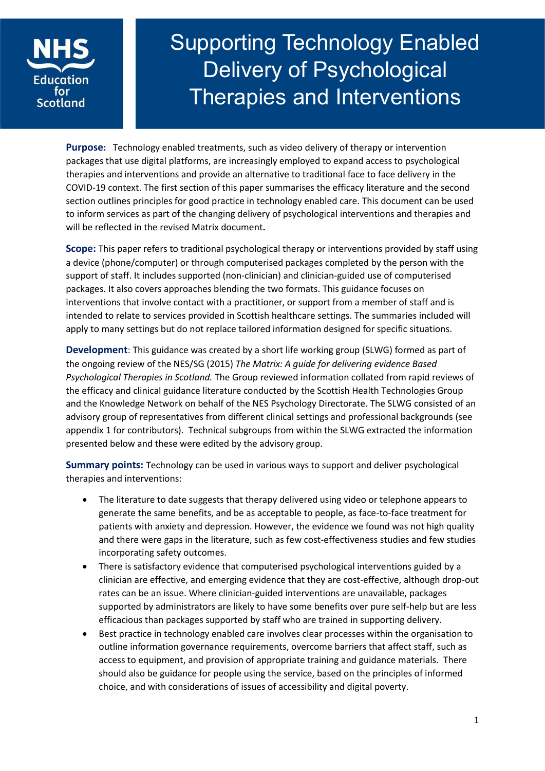

# IS Bupporting Technology Enabled Delivery of Psychological Therapies and Interventions

**Purpose:** Technology enabled treatments, such as video delivery of therapy or intervention packages that use digital platforms, are increasingly employed to expand access to psychological therapies and interventions and provide an alternative to traditional face to face delivery in the COVID-19 context. The first section of this paper summarises the efficacy literature and the second section outlines principles for good practice in technology enabled care. This document can be used to inform services as part of the changing delivery of psychological interventions and therapies and will be reflected in the revised Matrix document**.**

**Scope:** This paper refers to traditional psychological therapy or interventions provided by staff using a device (phone/computer) or through computerised packages completed by the person with the support of staff. It includes supported (non-clinician) and clinician-guided use of computerised packages. It also covers approaches blending the two formats. This guidance focuses on interventions that involve contact with a practitioner, or support from a member of staff and is intended to relate to services provided in Scottish healthcare settings. The summaries included will apply to many settings but do not replace tailored information designed for specific situations.

**Development**: This guidance was created by a short life working group (SLWG) formed as part of the ongoing review of the NES/SG (2015) *The Matrix: A guide for delivering evidence Based Psychological Therapies in Scotland.* The Group reviewed information collated from rapid reviews of the efficacy and clinical guidance literature conducted by the Scottish Health Technologies Group and the Knowledge Network on behalf of the NES Psychology Directorate. The SLWG consisted of an advisory group of representatives from different clinical settings and professional backgrounds (see appendix 1 for contributors). Technical subgroups from within the SLWG extracted the information presented below and these were edited by the advisory group.

**Summary points:** Technology can be used in various ways to support and deliver psychological therapies and interventions:

- The literature to date suggests that therapy delivered using video or telephone appears to generate the same benefits, and be as acceptable to people, as face-to-face treatment for patients with anxiety and depression. However, the evidence we found was not high quality and there were gaps in the literature, such as few cost-effectiveness studies and few studies incorporating safety outcomes.
- There is satisfactory evidence that computerised psychological interventions guided by a clinician are effective, and emerging evidence that they are cost-effective, although drop-out rates can be an issue. Where clinician-guided interventions are unavailable, packages supported by administrators are likely to have some benefits over pure self-help but are less efficacious than packages supported by staff who are trained in supporting delivery.
- Best practice in technology enabled care involves clear processes within the organisation to outline information governance requirements, overcome barriers that affect staff, such as access to equipment, and provision of appropriate training and guidance materials. There should also be guidance for people using the service, based on the principles of informed choice, and with considerations of issues of accessibility and digital poverty.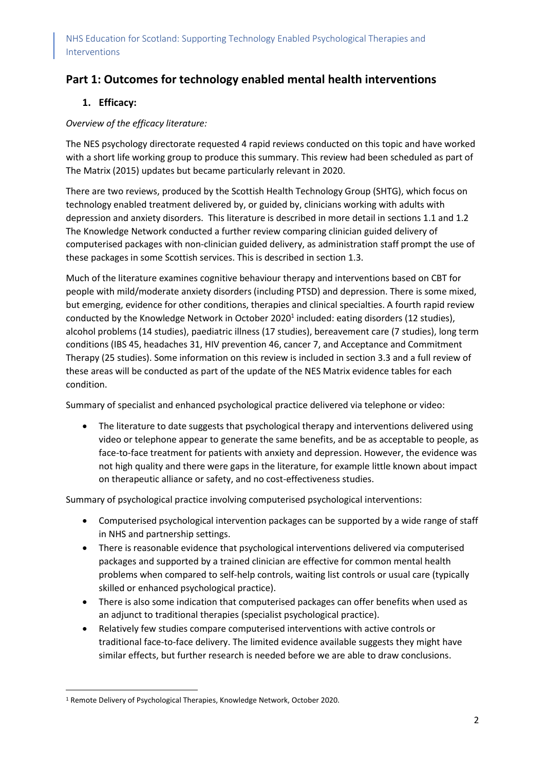# **Part 1: Outcomes for technology enabled mental health interventions**

# **1. Efficacy:**

### *Overview of the efficacy literature:*

The NES psychology directorate requested 4 rapid reviews conducted on this topic and have worked with a short life working group to produce this summary. This review had been scheduled as part of The Matrix (2015) updates but became particularly relevant in 2020.

There are two reviews, produced by the Scottish Health Technology Group (SHTG), which focus on technology enabled treatment delivered by, or guided by, clinicians working with adults with depression and anxiety disorders. This literature is described in more detail in sections 1.1 and 1.2 The Knowledge Network conducted a further review comparing clinician guided delivery of computerised packages with non-clinician guided delivery, as administration staff prompt the use of these packages in some Scottish services. This is described in section 1.3.

Much of the literature examines cognitive behaviour therapy and interventions based on CBT for people with mild/moderate anxiety disorders (including PTSD) and depression. There is some mixed, but emerging, evidence for other conditions, therapies and clinical specialties. A fourth rapid review conducted by the Knowledge Network in October 2020<sup>1</sup> included: eating disorders (12 studies), alcohol problems (14 studies), paediatric illness (17 studies), bereavement care (7 studies), long term conditions (IBS 45, headaches 31, HIV prevention 46, cancer 7, and Acceptance and Commitment Therapy (25 studies). Some information on this review is included in section 3.3 and a full review of these areas will be conducted as part of the update of the NES Matrix evidence tables for each condition.

Summary of specialist and enhanced psychological practice delivered via telephone or video:

• The literature to date suggests that psychological therapy and interventions delivered using video or telephone appear to generate the same benefits, and be as acceptable to people, as face-to-face treatment for patients with anxiety and depression. However, the evidence was not high quality and there were gaps in the literature, for example little known about impact on therapeutic alliance or safety, and no cost-effectiveness studies.

Summary of psychological practice involving computerised psychological interventions:

- Computerised psychological intervention packages can be supported by a wide range of staff in NHS and partnership settings.
- There is reasonable evidence that psychological interventions delivered via computerised packages and supported by a trained clinician are effective for common mental health problems when compared to self-help controls, waiting list controls or usual care (typically skilled or enhanced psychological practice).
- There is also some indication that computerised packages can offer benefits when used as an adjunct to traditional therapies (specialist psychological practice).
- Relatively few studies compare computerised interventions with active controls or traditional face-to-face delivery. The limited evidence available suggests they might have similar effects, but further research is needed before we are able to draw conclusions.

<sup>1</sup> Remote Delivery of Psychological Therapies, Knowledge Network, October 2020.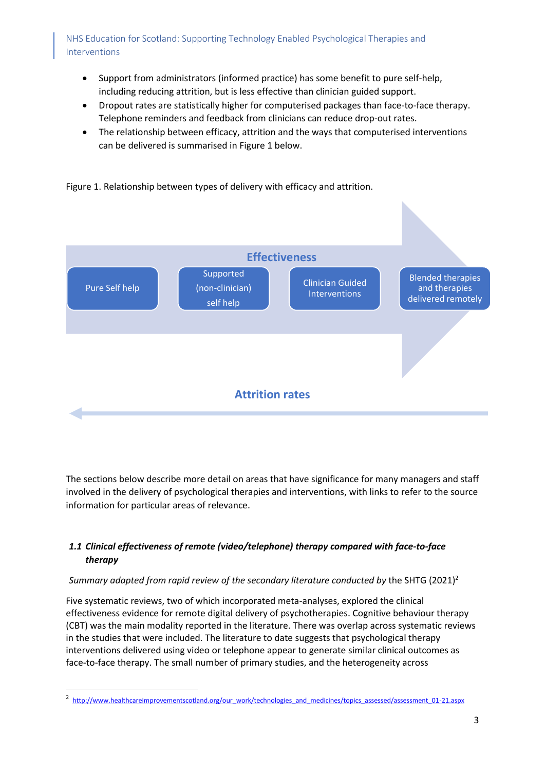- Support from administrators (informed practice) has some benefit to pure self-help, including reducing attrition, but is less effective than clinician guided support.
- Dropout rates are statistically higher for computerised packages than face-to-face therapy. Telephone reminders and feedback from clinicians can reduce drop-out rates.
- The relationship between efficacy, attrition and the ways that computerised interventions can be delivered is summarised in Figure 1 below.

Figure 1. Relationship between types of delivery with efficacy and attrition.



The sections below describe more detail on areas that have significance for many managers and staff involved in the delivery of psychological therapies and interventions, with links to refer to the source information for particular areas of relevance.

# *1.1 Clinical effectiveness of remote (video/telephone) therapy compared with face-to-face therapy*

### *Summary adapted from rapid review of the secondary literature conducted by the SHTG (2021)<sup>2</sup>*

Five systematic reviews, two of which incorporated meta-analyses, explored the clinical effectiveness evidence for remote digital delivery of psychotherapies. Cognitive behaviour therapy (CBT) was the main modality reported in the literature. There was overlap across systematic reviews in the studies that were included. The literature to date suggests that psychological therapy interventions delivered using video or telephone appear to generate similar clinical outcomes as face-to-face therapy. The small number of primary studies, and the heterogeneity across

<sup>&</sup>lt;sup>2</sup> [http://www.healthcareimprovementscotland.org/our\\_work/technologies\\_and\\_medicines/topics\\_assessed/assessment\\_01-21.aspx](http://www.healthcareimprovementscotland.org/our_work/technologies_and_medicines/topics_assessed/assessment_01-21.aspx)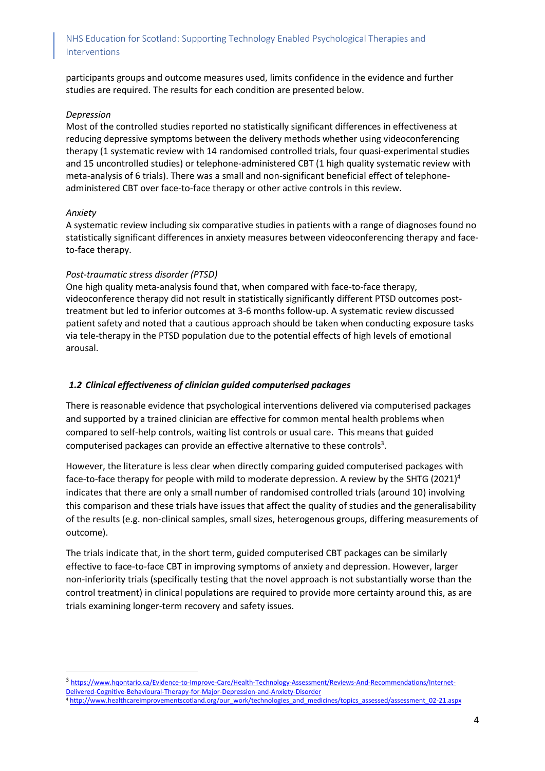participants groups and outcome measures used, limits confidence in the evidence and further studies are required. The results for each condition are presented below.

### *Depression*

Most of the controlled studies reported no statistically significant differences in effectiveness at reducing depressive symptoms between the delivery methods whether using videoconferencing therapy (1 systematic review with 14 randomised controlled trials, four quasi-experimental studies and 15 uncontrolled studies) or telephone-administered CBT (1 high quality systematic review with meta-analysis of 6 trials). There was a small and non-significant beneficial effect of telephoneadministered CBT over face-to-face therapy or other active controls in this review.

#### *Anxiety*

A systematic review including six comparative studies in patients with a range of diagnoses found no statistically significant differences in anxiety measures between videoconferencing therapy and faceto-face therapy.

### *Post-traumatic stress disorder (PTSD)*

One high quality meta-analysis found that, when compared with face-to-face therapy, videoconference therapy did not result in statistically significantly different PTSD outcomes posttreatment but led to inferior outcomes at 3-6 months follow-up. A systematic review discussed patient safety and noted that a cautious approach should be taken when conducting exposure tasks via tele-therapy in the PTSD population due to the potential effects of high levels of emotional arousal.

### *1.2 Clinical effectiveness of clinician guided computerised packages*

There is reasonable evidence that psychological interventions delivered via computerised packages and supported by a trained clinician are effective for common mental health problems when compared to self-help controls, waiting list controls or usual care. This means that guided computerised packages can provide an effective alternative to these controls<sup>3</sup>.

However, the literature is less clear when directly comparing guided computerised packages with face-to-face therapy for people with mild to moderate depression. A review by the SHTG (2021)<sup>4</sup> indicates that there are only a small number of randomised controlled trials (around 10) involving this comparison and these trials have issues that affect the quality of studies and the generalisability of the results (e.g. non-clinical samples, small sizes, heterogenous groups, differing measurements of outcome).

The trials indicate that, in the short term, guided computerised CBT packages can be similarly effective to face-to-face CBT in improving symptoms of anxiety and depression. However, larger non-inferiority trials (specifically testing that the novel approach is not substantially worse than the control treatment) in clinical populations are required to provide more certainty around this, as are trials examining longer-term recovery and safety issues.

<sup>3</sup> [https://www.hqontario.ca/Evidence-to-Improve-Care/Health-Technology-Assessment/Reviews-And-Recommendations/Internet-](https://www.hqontario.ca/Evidence-to-Improve-Care/Health-Technology-Assessment/Reviews-And-Recommendations/Internet-Delivered-Cognitive-Behavioural-Therapy-for-Major-Depression-and-Anxiety-Disorder)[Delivered-Cognitive-Behavioural-Therapy-for-Major-Depression-and-Anxiety-Disorder](https://www.hqontario.ca/Evidence-to-Improve-Care/Health-Technology-Assessment/Reviews-And-Recommendations/Internet-Delivered-Cognitive-Behavioural-Therapy-for-Major-Depression-and-Anxiety-Disorder)

<sup>4</sup> [http://www.healthcareimprovementscotland.org/our\\_work/technologies\\_and\\_medicines/topics\\_assessed/assessment\\_02-21.aspx](http://www.healthcareimprovementscotland.org/our_work/technologies_and_medicines/topics_assessed/assessment_02-21.aspx)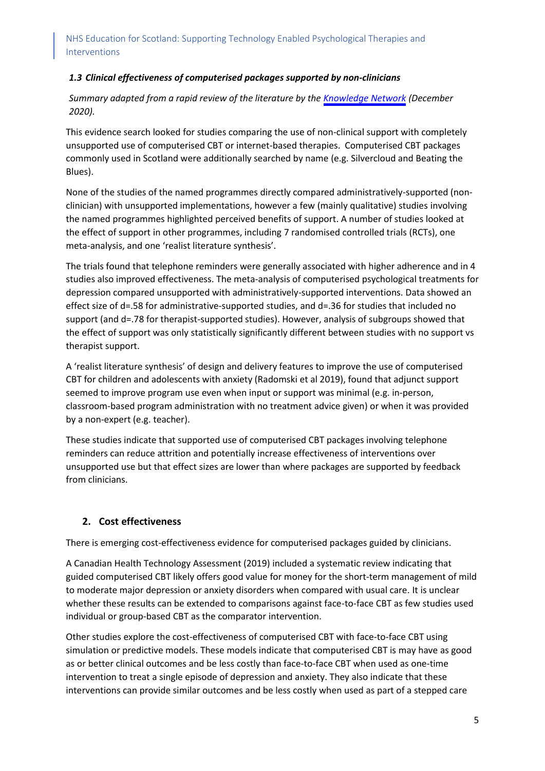# *1.3 Clinical effectiveness of computerised packages supported by non-clinicians*

*Summary adapted from a rapid review of the literature by the [Knowledge Network](https://learn.nes.nhs.scot/48881/supporting-technology-enabled-psychological-therapies-and-interventions/evidence-summary-non-clinical-support-in-internet-based-therapies) (December 2020).*

This evidence search looked for studies comparing the use of non-clinical support with completely unsupported use of computerised CBT or internet-based therapies. Computerised CBT packages commonly used in Scotland were additionally searched by name (e.g. Silvercloud and Beating the Blues).

None of the studies of the named programmes directly compared administratively-supported (nonclinician) with unsupported implementations, however a few (mainly qualitative) studies involving the named programmes highlighted perceived benefits of support. A number of studies looked at the effect of support in other programmes, including 7 randomised controlled trials (RCTs), one meta-analysis, and one 'realist literature synthesis'.

The trials found that telephone reminders were generally associated with higher adherence and in 4 studies also improved effectiveness. The meta-analysis of computerised psychological treatments for depression compared unsupported with administratively-supported interventions. Data showed an effect size of d=.58 for administrative-supported studies, and d=.36 for studies that included no support (and d=.78 for therapist-supported studies). However, analysis of subgroups showed that the effect of support was only statistically significantly different between studies with no support vs therapist support.

A 'realist literature synthesis' of design and delivery features to improve the use of computerised CBT for children and adolescents with anxiety (Radomski et al 2019), found that adjunct support seemed to improve program use even when input or support was minimal (e.g. in-person, classroom-based program administration with no treatment advice given) or when it was provided by a non-expert (e.g. teacher).

These studies indicate that supported use of computerised CBT packages involving telephone reminders can reduce attrition and potentially increase effectiveness of interventions over unsupported use but that effect sizes are lower than where packages are supported by feedback from clinicians.

# **2. Cost effectiveness**

There is emerging cost-effectiveness evidence for computerised packages guided by clinicians.

A Canadian Health Technology Assessment (2019) included a systematic review indicating that guided computerised CBT likely offers good value for money for the short-term management of mild to moderate major depression or anxiety disorders when compared with usual care. It is unclear whether these results can be extended to comparisons against face-to-face CBT as few studies used individual or group-based CBT as the comparator intervention.

Other studies explore the cost-effectiveness of computerised CBT with face-to-face CBT using simulation or predictive models. These models indicate that computerised CBT is may have as good as or better clinical outcomes and be less costly than face-to-face CBT when used as one-time intervention to treat a single episode of depression and anxiety. They also indicate that these interventions can provide similar outcomes and be less costly when used as part of a stepped care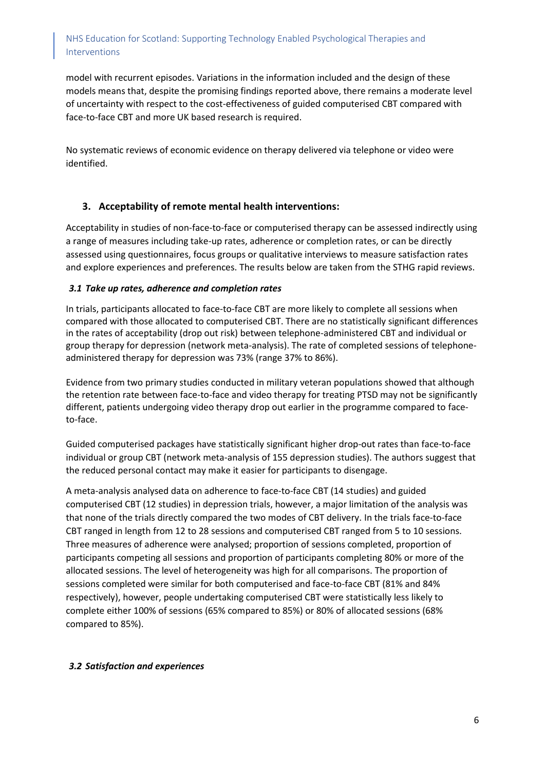model with recurrent episodes. Variations in the information included and the design of these models means that, despite the promising findings reported above, there remains a moderate level of uncertainty with respect to the cost-effectiveness of guided computerised CBT compared with face-to-face CBT and more UK based research is required.

No systematic reviews of economic evidence on therapy delivered via telephone or video were identified.

### **3. Acceptability of remote mental health interventions:**

Acceptability in studies of non-face-to-face or computerised therapy can be assessed indirectly using a range of measures including take-up rates, adherence or completion rates, or can be directly assessed using questionnaires, focus groups or qualitative interviews to measure satisfaction rates and explore experiences and preferences. The results below are taken from the STHG rapid reviews.

### *3.1 Take up rates, adherence and completion rates*

In trials, participants allocated to face-to-face CBT are more likely to complete all sessions when compared with those allocated to computerised CBT. There are no statistically significant differences in the rates of acceptability (drop out risk) between telephone-administered CBT and individual or group therapy for depression (network meta-analysis). The rate of completed sessions of telephoneadministered therapy for depression was 73% (range 37% to 86%).

Evidence from two primary studies conducted in military veteran populations showed that although the retention rate between face-to-face and video therapy for treating PTSD may not be significantly different, patients undergoing video therapy drop out earlier in the programme compared to faceto-face.

Guided computerised packages have statistically significant higher drop-out rates than face-to-face individual or group CBT (network meta-analysis of 155 depression studies). The authors suggest that the reduced personal contact may make it easier for participants to disengage.

A meta-analysis analysed data on adherence to face-to-face CBT (14 studies) and guided computerised CBT (12 studies) in depression trials, however, a major limitation of the analysis was that none of the trials directly compared the two modes of CBT delivery. In the trials face-to-face CBT ranged in length from 12 to 28 sessions and computerised CBT ranged from 5 to 10 sessions. Three measures of adherence were analysed; proportion of sessions completed, proportion of participants competing all sessions and proportion of participants completing 80% or more of the allocated sessions. The level of heterogeneity was high for all comparisons. The proportion of sessions completed were similar for both computerised and face-to-face CBT (81% and 84% respectively), however, people undertaking computerised CBT were statistically less likely to complete either 100% of sessions (65% compared to 85%) or 80% of allocated sessions (68% compared to 85%).

### *3.2 Satisfaction and experiences*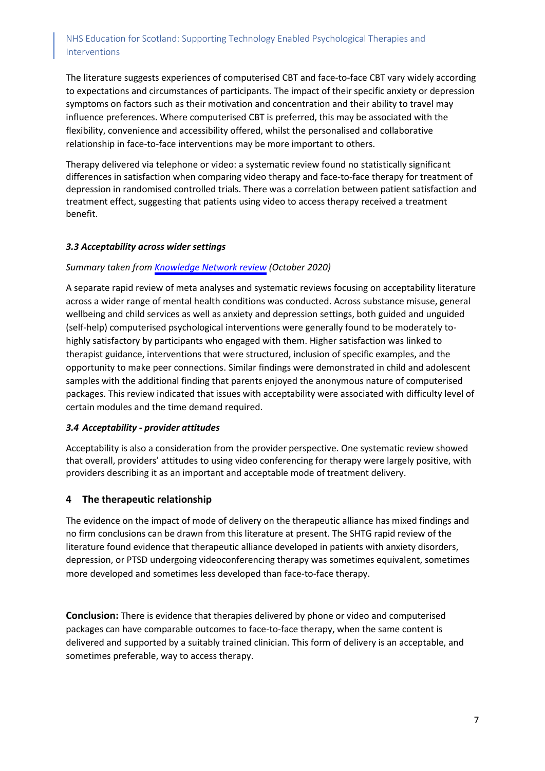The literature suggests experiences of computerised CBT and face-to-face CBT vary widely according to expectations and circumstances of participants. The impact of their specific anxiety or depression symptoms on factors such as their motivation and concentration and their ability to travel may influence preferences. Where computerised CBT is preferred, this may be associated with the flexibility, convenience and accessibility offered, whilst the personalised and collaborative relationship in face-to-face interventions may be more important to others.

Therapy delivered via telephone or video: a systematic review found no statistically significant differences in satisfaction when comparing video therapy and face-to-face therapy for treatment of depression in randomised controlled trials. There was a correlation between patient satisfaction and treatment effect, suggesting that patients using video to access therapy received a treatment benefit.

### *3.3 Acceptability across wider settings*

### *Summary taken from [Knowledge Network review](https://learn.nes.nhs.scot/48891/supporting-technology-enabled-psychological-therapies-and-interventions/remote-delivery-of-psychological-therapies-update) (October 2020)*

A separate rapid review of meta analyses and systematic reviews focusing on acceptability literature across a wider range of mental health conditions was conducted. Across substance misuse, general wellbeing and child services as well as anxiety and depression settings, both guided and unguided (self-help) computerised psychological interventions were generally found to be moderately tohighly satisfactory by participants who engaged with them. Higher satisfaction was linked to therapist guidance, interventions that were structured, inclusion of specific examples, and the opportunity to make peer connections. Similar findings were demonstrated in child and adolescent samples with the additional finding that parents enjoyed the anonymous nature of computerised packages. This review indicated that issues with acceptability were associated with difficulty level of certain modules and the time demand required.

### *3.4 Acceptability - provider attitudes*

Acceptability is also a consideration from the provider perspective. One systematic review showed that overall, providers' attitudes to using video conferencing for therapy were largely positive, with providers describing it as an important and acceptable mode of treatment delivery.

### **4 The therapeutic relationship**

The evidence on the impact of mode of delivery on the therapeutic alliance has mixed findings and no firm conclusions can be drawn from this literature at present. The SHTG rapid review of the literature found evidence that therapeutic alliance developed in patients with anxiety disorders, depression, or PTSD undergoing videoconferencing therapy was sometimes equivalent, sometimes more developed and sometimes less developed than face-to-face therapy.

**Conclusion:** There is evidence that therapies delivered by phone or video and computerised packages can have comparable outcomes to face-to-face therapy, when the same content is delivered and supported by a suitably trained clinician. This form of delivery is an acceptable, and sometimes preferable, way to access therapy.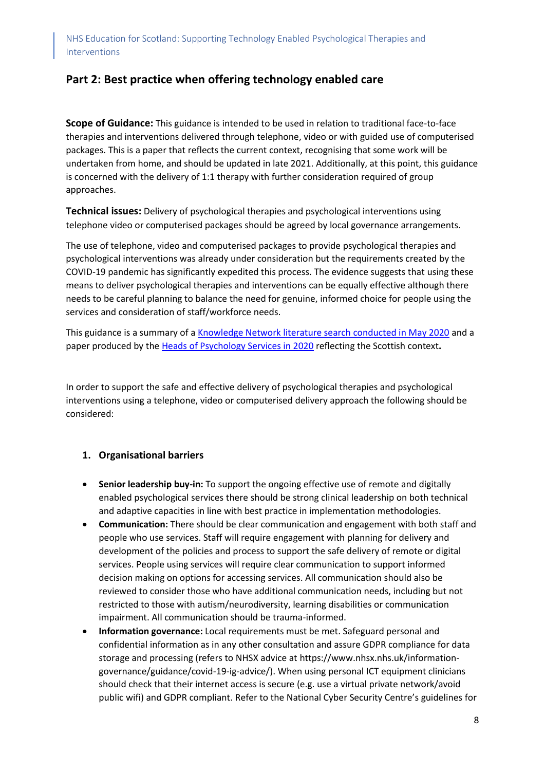# **Part 2: Best practice when offering technology enabled care**

**Scope of Guidance:** This guidance is intended to be used in relation to traditional face-to-face therapies and interventions delivered through telephone, video or with guided use of computerised packages. This is a paper that reflects the current context, recognising that some work will be undertaken from home, and should be updated in late 2021. Additionally, at this point, this guidance is concerned with the delivery of 1:1 therapy with further consideration required of group approaches.

**Technical issues:** Delivery of psychological therapies and psychological interventions using telephone video or computerised packages should be agreed by local governance arrangements.

The use of telephone, video and computerised packages to provide psychological therapies and psychological interventions was already under consideration but the requirements created by the COVID-19 pandemic has significantly expedited this process. The evidence suggests that using these means to deliver psychological therapies and interventions can be equally effective although there needs to be careful planning to balance the need for genuine, informed choice for people using the services and consideration of staff/workforce needs.

This guidance is a summary of a [Knowledge Network literature search](https://learn.nes.nhs.scot/48891/supporting-technology-enabled-psychological-therapies-and-interventions/remote-delivery-of-psychological-therapies-update) conducted in May 2020 and a paper produced by th[e Heads of Psychology Services in 2020](https://learn.nes.nhs.scot/48892/supporting-technology-enabled-psychological-therapies-and-interventions/remote-delivery-guidance-2020-heads-of-psychological-services) reflecting the Scottish context**.**

In order to support the safe and effective delivery of psychological therapies and psychological interventions using a telephone, video or computerised delivery approach the following should be considered:

### **1. Organisational barriers**

- **Senior leadership buy-in:** To support the ongoing effective use of remote and digitally enabled psychological services there should be strong clinical leadership on both technical and adaptive capacities in line with best practice in implementation methodologies.
- **Communication:** There should be clear communication and engagement with both staff and people who use services. Staff will require engagement with planning for delivery and development of the policies and process to support the safe delivery of remote or digital services. People using services will require clear communication to support informed decision making on options for accessing services. All communication should also be reviewed to consider those who have additional communication needs, including but not restricted to those with autism/neurodiversity, learning disabilities or communication impairment. All communication should be trauma-informed.
- **Information governance:** Local requirements must be met. Safeguard personal and confidential information as in any other consultation and assure GDPR compliance for data storage and processing (refers to NHSX advice at https://www.nhsx.nhs.uk/informationgovernance/guidance/covid-19-ig-advice/). When using personal ICT equipment clinicians should check that their internet access is secure (e.g. use a virtual private network/avoid public wifi) and GDPR compliant. Refer to the National Cyber Security Centre's guidelines for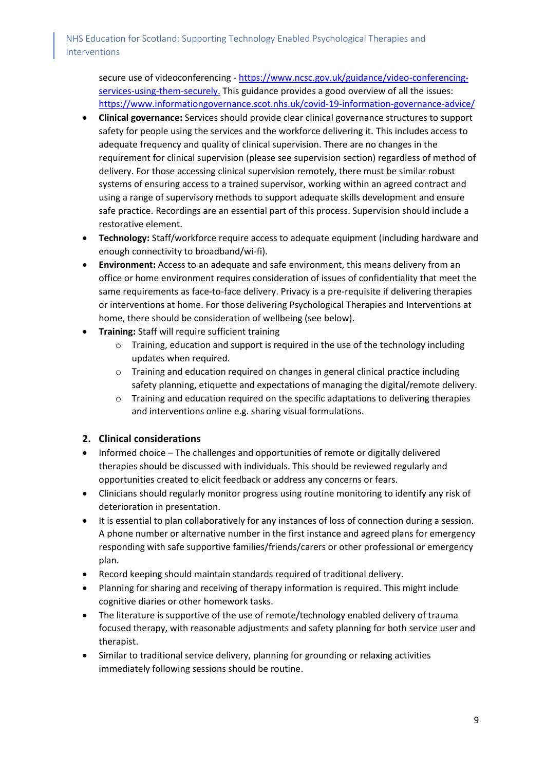secure use of videoconferencing - [https://www.ncsc.gov.uk/guidance/video-conferencing](https://www.ncsc.gov.uk/guidance/video-conferencing-services-using-them-securely)[services-using-them-securely.](https://www.ncsc.gov.uk/guidance/video-conferencing-services-using-them-securely) This guidance provides a good overview of all the issues: <https://www.informationgovernance.scot.nhs.uk/covid-19-information-governance-advice/>

- **Clinical governance:** Services should provide clear clinical governance structures to support safety for people using the services and the workforce delivering it. This includes access to adequate frequency and quality of clinical supervision. There are no changes in the requirement for clinical supervision (please see supervision section) regardless of method of delivery. For those accessing clinical supervision remotely, there must be similar robust systems of ensuring access to a trained supervisor, working within an agreed contract and using a range of supervisory methods to support adequate skills development and ensure safe practice. Recordings are an essential part of this process. Supervision should include a restorative element.
- **Technology:** Staff/workforce require access to adequate equipment (including hardware and enough connectivity to broadband/wi-fi).
- **Environment:** Access to an adequate and safe environment, this means delivery from an office or home environment requires consideration of issues of confidentiality that meet the same requirements as face-to-face delivery. Privacy is a pre-requisite if delivering therapies or interventions at home. For those delivering Psychological Therapies and Interventions at home, there should be consideration of wellbeing (see below).
- **Training:** Staff will require sufficient training
	- o Training, education and support is required in the use of the technology including updates when required.
	- o Training and education required on changes in general clinical practice including safety planning, etiquette and expectations of managing the digital/remote delivery.
	- o Training and education required on the specific adaptations to delivering therapies and interventions online e.g. sharing visual formulations.

# **2. Clinical considerations**

- Informed choice The challenges and opportunities of remote or digitally delivered therapies should be discussed with individuals. This should be reviewed regularly and opportunities created to elicit feedback or address any concerns or fears.
- Clinicians should regularly monitor progress using routine monitoring to identify any risk of deterioration in presentation.
- It is essential to plan collaboratively for any instances of loss of connection during a session. A phone number or alternative number in the first instance and agreed plans for emergency responding with safe supportive families/friends/carers or other professional or emergency plan.
- Record keeping should maintain standards required of traditional delivery.
- Planning for sharing and receiving of therapy information is required. This might include cognitive diaries or other homework tasks.
- The literature is supportive of the use of remote/technology enabled delivery of trauma focused therapy, with reasonable adjustments and safety planning for both service user and therapist.
- Similar to traditional service delivery, planning for grounding or relaxing activities immediately following sessions should be routine.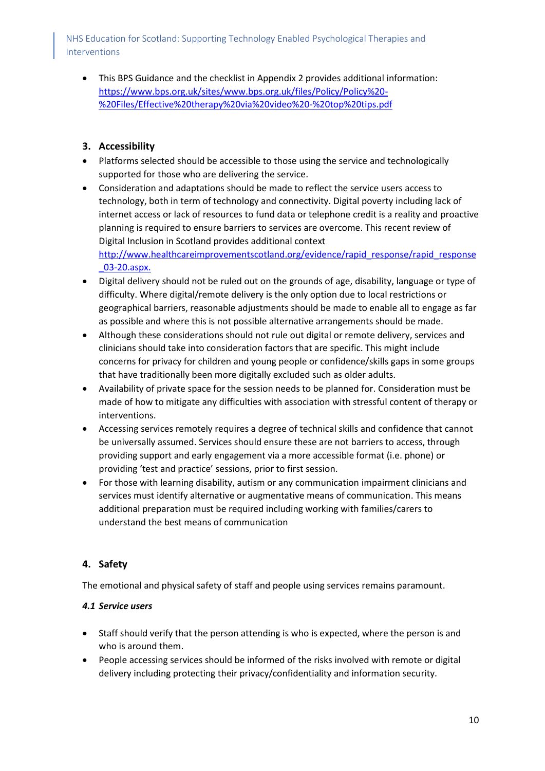• This BPS Guidance and the checklist in Appendix 2 provides additional information: [https://www.bps.org.uk/sites/www.bps.org.uk/files/Policy/Policy%20-](https://www.bps.org.uk/sites/www.bps.org.uk/files/Policy/Policy%20-%20Files/Effective%20therapy%20via%20video%20-%20top%20tips.pdf) [%20Files/Effective%20therapy%20via%20video%20-%20top%20tips.pdf](https://www.bps.org.uk/sites/www.bps.org.uk/files/Policy/Policy%20-%20Files/Effective%20therapy%20via%20video%20-%20top%20tips.pdf)

# **3. Accessibility**

- Platforms selected should be accessible to those using the service and technologically supported for those who are delivering the service.
- Consideration and adaptations should be made to reflect the service users access to technology, both in term of technology and connectivity. Digital poverty including lack of internet access or lack of resources to fund data or telephone credit is a reality and proactive planning is required to ensure barriers to services are overcome. This recent review of Digital Inclusion in Scotland provides additional context

[http://www.healthcareimprovementscotland.org/evidence/rapid\\_response/rapid\\_response](http://www.healthcareimprovementscotland.org/evidence/rapid_response/rapid_response_03-20.aspx) [\\_03-20.aspx.](http://www.healthcareimprovementscotland.org/evidence/rapid_response/rapid_response_03-20.aspx)

- Digital delivery should not be ruled out on the grounds of age, disability, language or type of difficulty. Where digital/remote delivery is the only option due to local restrictions or geographical barriers, reasonable adjustments should be made to enable all to engage as far as possible and where this is not possible alternative arrangements should be made.
- Although these considerations should not rule out digital or remote delivery, services and clinicians should take into consideration factors that are specific. This might include concerns for privacy for children and young people or confidence/skills gaps in some groups that have traditionally been more digitally excluded such as older adults.
- Availability of private space for the session needs to be planned for. Consideration must be made of how to mitigate any difficulties with association with stressful content of therapy or interventions.
- Accessing services remotely requires a degree of technical skills and confidence that cannot be universally assumed. Services should ensure these are not barriers to access, through providing support and early engagement via a more accessible format (i.e. phone) or providing 'test and practice' sessions, prior to first session.
- For those with learning disability, autism or any communication impairment clinicians and services must identify alternative or augmentative means of communication. This means additional preparation must be required including working with families/carers to understand the best means of communication

# **4. Safety**

The emotional and physical safety of staff and people using services remains paramount.

# *4.1 Service users*

- Staff should verify that the person attending is who is expected, where the person is and who is around them.
- People accessing services should be informed of the risks involved with remote or digital delivery including protecting their privacy/confidentiality and information security.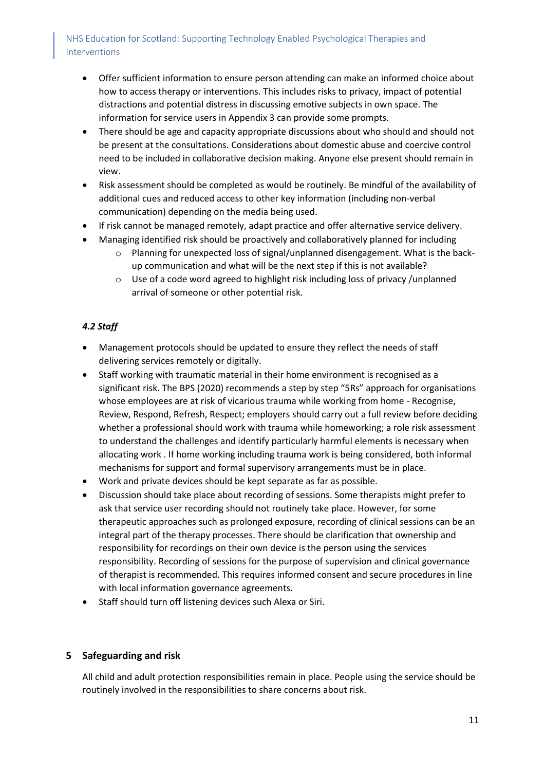- Offer sufficient information to ensure person attending can make an informed choice about how to access therapy or interventions. This includes risks to privacy, impact of potential distractions and potential distress in discussing emotive subjects in own space. The information for service users in Appendix 3 can provide some prompts.
- There should be age and capacity appropriate discussions about who should and should not be present at the consultations. Considerations about domestic abuse and coercive control need to be included in collaborative decision making. Anyone else present should remain in view.
- Risk assessment should be completed as would be routinely. Be mindful of the availability of additional cues and reduced access to other key information (including non-verbal communication) depending on the media being used.
- If risk cannot be managed remotely, adapt practice and offer alternative service delivery.
- Managing identified risk should be proactively and collaboratively planned for including
	- $\circ$  Planning for unexpected loss of signal/unplanned disengagement. What is the backup communication and what will be the next step if this is not available?
	- o Use of a code word agreed to highlight risk including loss of privacy /unplanned arrival of someone or other potential risk.

# *4.2 Staff*

- Management protocols should be updated to ensure they reflect the needs of staff delivering services remotely or digitally.
- Staff working with traumatic material in their home environment is recognised as a significant risk. The BPS (2020) recommends a step by step "5Rs" approach for organisations whose employees are at risk of vicarious trauma while working from home - Recognise, Review, Respond, Refresh, Respect; employers should carry out a full review before deciding whether a professional should work with trauma while homeworking; a role risk assessment to understand the challenges and identify particularly harmful elements is necessary when allocating work . If home working including trauma work is being considered, both informal mechanisms for support and formal supervisory arrangements must be in place.
- Work and private devices should be kept separate as far as possible.
- Discussion should take place about recording of sessions. Some therapists might prefer to ask that service user recording should not routinely take place. However, for some therapeutic approaches such as prolonged exposure, recording of clinical sessions can be an integral part of the therapy processes. There should be clarification that ownership and responsibility for recordings on their own device is the person using the services responsibility. Recording of sessions for the purpose of supervision and clinical governance of therapist is recommended. This requires informed consent and secure procedures in line with local information governance agreements.
- Staff should turn off listening devices such Alexa or Siri.

# **5 Safeguarding and risk**

All child and adult protection responsibilities remain in place. People using the service should be routinely involved in the responsibilities to share concerns about risk.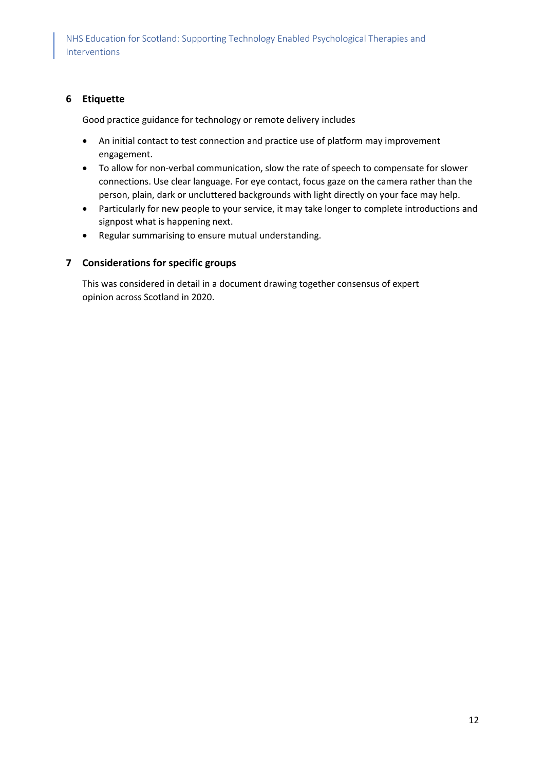### **6 Etiquette**

Good practice guidance for technology or remote delivery includes

- An initial contact to test connection and practice use of platform may improvement engagement.
- To allow for non-verbal communication, slow the rate of speech to compensate for slower connections. Use clear language. For eye contact, focus gaze on the camera rather than the person, plain, dark or uncluttered backgrounds with light directly on your face may help.
- Particularly for new people to your service, it may take longer to complete introductions and signpost what is happening next.
- Regular summarising to ensure mutual understanding.

### **7 Considerations for specific groups**

This was considered in detail in a document drawing together consensus of expert opinion across Scotland in 2020.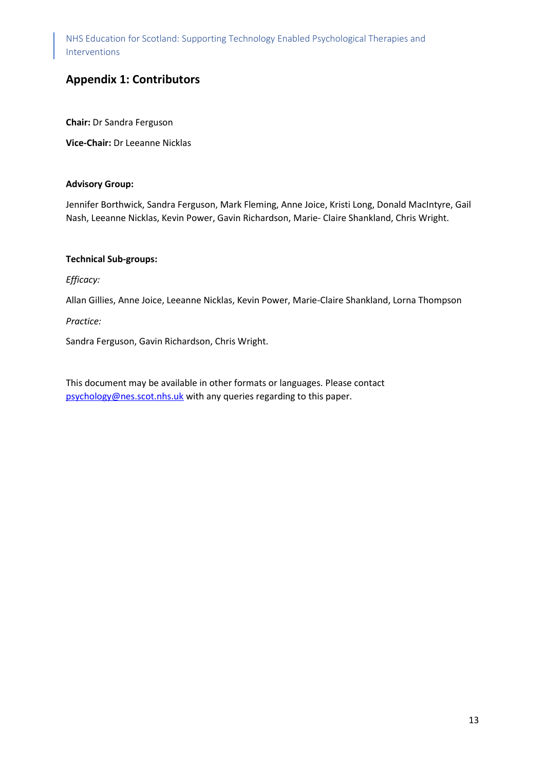# **Appendix 1: Contributors**

**Chair:** Dr Sandra Ferguson

**Vice-Chair:** Dr Leeanne Nicklas

#### **Advisory Group:**

Jennifer Borthwick, Sandra Ferguson, Mark Fleming, Anne Joice, Kristi Long, Donald MacIntyre, Gail Nash, Leeanne Nicklas, Kevin Power, Gavin Richardson, Marie- Claire Shankland, Chris Wright.

#### **Technical Sub-groups:**

*Efficacy:*

Allan Gillies, Anne Joice, Leeanne Nicklas, Kevin Power, Marie-Claire Shankland, Lorna Thompson

*Practice:*

Sandra Ferguson, Gavin Richardson, Chris Wright.

This document may be available in other formats or languages. Please contact [psychology@nes.scot.nhs.uk](mailto:psychology@nes.scot.nhs.uk) with any queries regarding to this paper.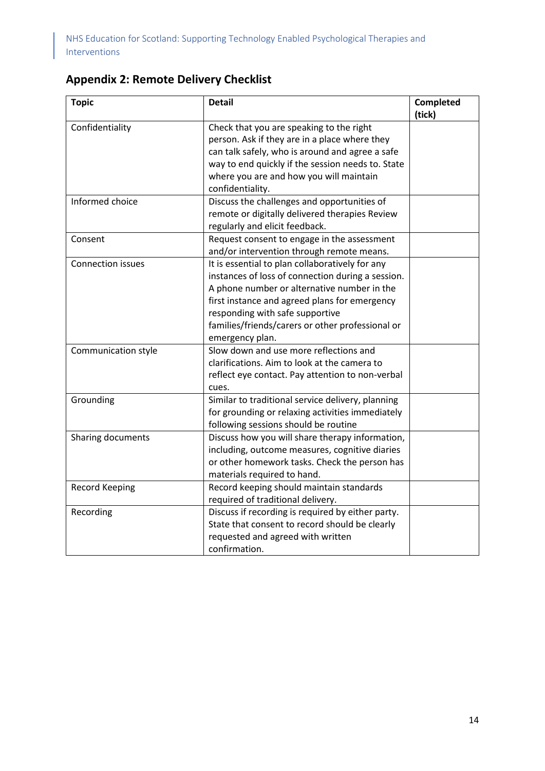# **Appendix 2: Remote Delivery Checklist**

| <b>Topic</b>             | <b>Detail</b>                                     | Completed |
|--------------------------|---------------------------------------------------|-----------|
| Confidentiality          |                                                   | (tick)    |
|                          | Check that you are speaking to the right          |           |
|                          | person. Ask if they are in a place where they     |           |
|                          | can talk safely, who is around and agree a safe   |           |
|                          | way to end quickly if the session needs to. State |           |
|                          | where you are and how you will maintain           |           |
|                          | confidentiality.                                  |           |
| Informed choice          | Discuss the challenges and opportunities of       |           |
|                          | remote or digitally delivered therapies Review    |           |
|                          | regularly and elicit feedback.                    |           |
| Consent                  | Request consent to engage in the assessment       |           |
|                          | and/or intervention through remote means.         |           |
| <b>Connection issues</b> | It is essential to plan collaboratively for any   |           |
|                          | instances of loss of connection during a session. |           |
|                          | A phone number or alternative number in the       |           |
|                          | first instance and agreed plans for emergency     |           |
|                          | responding with safe supportive                   |           |
|                          | families/friends/carers or other professional or  |           |
|                          | emergency plan.                                   |           |
| Communication style      | Slow down and use more reflections and            |           |
|                          | clarifications. Aim to look at the camera to      |           |
|                          | reflect eye contact. Pay attention to non-verbal  |           |
|                          | cues.                                             |           |
| Grounding                | Similar to traditional service delivery, planning |           |
|                          | for grounding or relaxing activities immediately  |           |
|                          | following sessions should be routine              |           |
| Sharing documents        | Discuss how you will share therapy information,   |           |
|                          | including, outcome measures, cognitive diaries    |           |
|                          | or other homework tasks. Check the person has     |           |
|                          | materials required to hand.                       |           |
| <b>Record Keeping</b>    | Record keeping should maintain standards          |           |
|                          | required of traditional delivery.                 |           |
| Recording                | Discuss if recording is required by either party. |           |
|                          | State that consent to record should be clearly    |           |
|                          | requested and agreed with written                 |           |
|                          | confirmation.                                     |           |